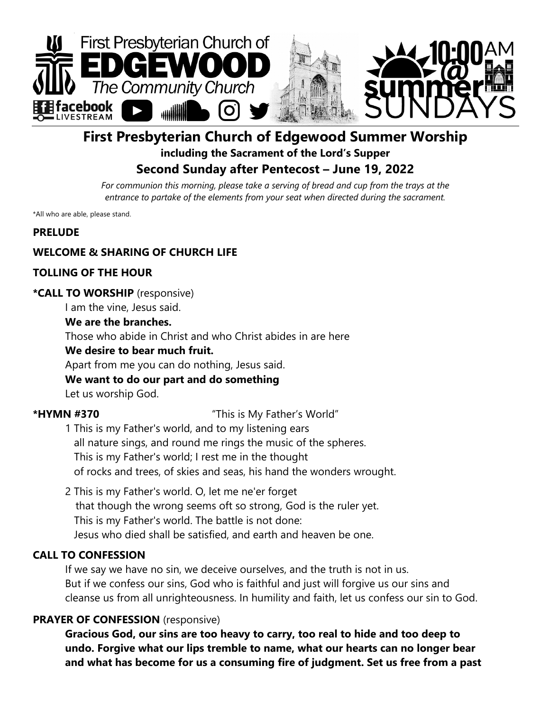

# **First Presbyterian Church of Edgewood Summer Worship including the Sacrament of the Lord's Supper Second Sunday after Pentecost – June 19, 2022**

For communion this morning, please take a serving of bread and cup from the trays at the *entrance to partake of the elements from your seat when directed during the sacrament.*

\*All who are able, please stand.

#### **PRELUDE**

#### **WELCOME & SHARING OF CHURCH LIFE**

#### **TOLLING OF THE HOUR**

#### **\*CALL TO WORSHIP** (responsive)

I am the vine, Jesus said.

#### **We are the branches.**

Those who abide in Christ and who Christ abides in are here

#### **We desire to bear much fruit.**

Apart from me you can do nothing, Jesus said.

#### **We want to do our part and do something**

Let us worship God.

**\*HYMN #370** "This is My Father's World"

- 1 This is my Father's world, and to my listening ears all nature sings, and round me rings the music of the spheres. This is my Father's world; I rest me in the thought of rocks and trees, of skies and seas, his hand the wonders wrought.
- 2 This is my Father's world. O, let me ne'er forget that though the wrong seems oft so strong, God is the ruler yet. This is my Father's world. The battle is not done: Jesus who died shall be satisfied, and earth and heaven be one.

### **CALL TO CONFESSION**

If we say we have no sin, we deceive ourselves, and the truth is not in us. But if we confess our sins, God who is faithful and just will forgive us our sins and cleanse us from all unrighteousness. In humility and faith, let us confess our sin to God.

#### **PRAYER OF CONFESSION** (responsive)

**Gracious God, our sins are too heavy to carry, too real to hide and too deep to undo. Forgive what our lips tremble to name, what our hearts can no longer bear and what has become for us a consuming fire of judgment. Set us free from a past**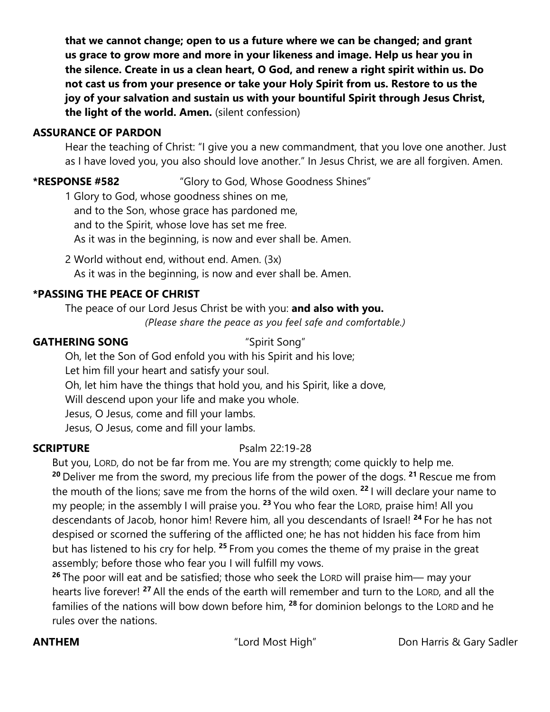**that we cannot change; open to us a future where we can be changed; and grant us grace to grow more and more in your likeness and image. Help us hear you in the silence. Create in us a clean heart, O God, and renew a right spirit within us. Do not cast us from your presence or take your Holy Spirit from us. Restore to us the joy of your salvation and sustain us with your bountiful Spirit through Jesus Christ, the light of the world. Amen.** (silent confession)

## **ASSURANCE OF PARDON**

Hear the teaching of Christ: "I give you a new commandment, that you love one another. Just as I have loved you, you also should love another." In Jesus Christ, we are all forgiven. Amen.

# **\*RESPONSE #582** "Glory to God, Whose Goodness Shines"

1 Glory to God, whose goodness shines on me, and to the Son, whose grace has pardoned me, and to the Spirit, whose love has set me free. As it was in the beginning, is now and ever shall be. Amen.

2 World without end, without end. Amen. (3x) As it was in the beginning, is now and ever shall be. Amen.

# **\*PASSING THE PEACE OF CHRIST**

The peace of our Lord Jesus Christ be with you: **and also with you.** *(Please share the peace as you feel safe and comfortable.)*

#### **GATHERING SONG** "Spirit Song"

Oh, let the Son of God enfold you with his Spirit and his love;

Let him fill your heart and satisfy your soul.

Oh, let him have the things that hold you, and his Spirit, like a dove,

Will descend upon your life and make you whole.

Jesus, O Jesus, come and fill your lambs.

Jesus, O Jesus, come and fill your lambs.

# **SCRIPTURE** Psalm 22:19-28

But you, LORD, do not be far from me. You are my strength; come quickly to help me. **<sup>20</sup>** Deliver me from the sword, my precious life from the power of the dogs. **<sup>21</sup>** Rescue me from the mouth of the lions; save me from the horns of the wild oxen. **<sup>22</sup>** I will declare your name to my people; in the assembly I will praise you. **<sup>23</sup>** You who fear the LORD, praise him! All you descendants of Jacob, honor him! Revere him, all you descendants of Israel! **<sup>24</sup>** For he has not despised or scorned the suffering of the afflicted one; he has not hidden his face from him but has listened to his cry for help. **<sup>25</sup>** From you comes the theme of my praise in the great assembly; before those who fear you I will fulfill my vows.

**<sup>26</sup>** The poor will eat and be satisfied; those who seek the LORD will praise him— may your hearts live forever! **<sup>27</sup>** All the ends of the earth will remember and turn to the LORD, and all the families of the nations will bow down before him, **<sup>28</sup>** for dominion belongs to the LORD and he rules over the nations.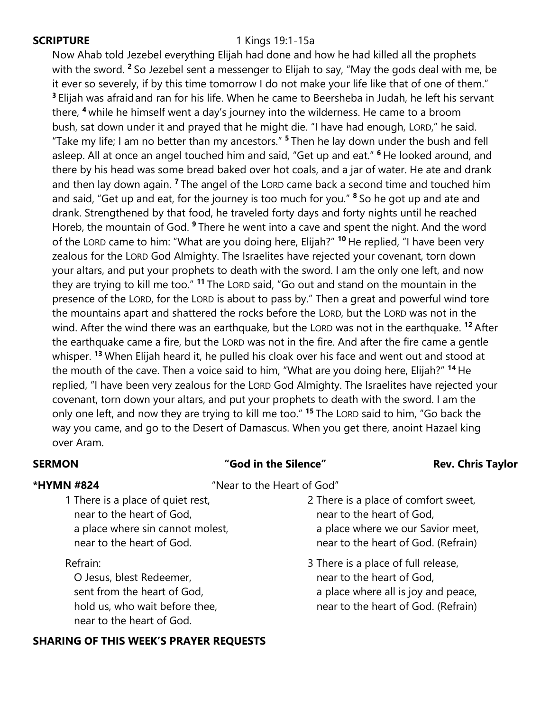#### **SCRIPTURE** 1 Kings 19:1-15a

Now Ahab told Jezebel everything Elijah had done and how he had killed all the prophets with the sword. **<sup>2</sup>** So Jezebel sent a messenger to Elijah to say, "May the gods deal with me, be it ever so severely, if by this time tomorrow I do not make your life like that of one of them." **<sup>3</sup>** Elijah was afraidand ran for his life. When he came to Beersheba in Judah, he left his servant there, **<sup>4</sup>** while he himself went a day's journey into the wilderness. He came to a broom bush, sat down under it and prayed that he might die. "I have had enough, LORD," he said. "Take my life; I am no better than my ancestors." **<sup>5</sup>** Then he lay down under the bush and fell asleep. All at once an angel touched him and said, "Get up and eat." **<sup>6</sup>** He looked around, and there by his head was some bread baked over hot coals, and a jar of water. He ate and drank and then lay down again. **<sup>7</sup>** The angel of the LORD came back a second time and touched him and said, "Get up and eat, for the journey is too much for you." **<sup>8</sup>** So he got up and ate and drank. Strengthened by that food, he traveled forty days and forty nights until he reached Horeb, the mountain of God. **<sup>9</sup>** There he went into a cave and spent the night. And the word of the LORD came to him: "What are you doing here, Elijah?" **<sup>10</sup>** He replied, "I have been very zealous for the LORD God Almighty. The Israelites have rejected your covenant, torn down your altars, and put your prophets to death with the sword. I am the only one left, and now they are trying to kill me too." **<sup>11</sup>** The LORD said, "Go out and stand on the mountain in the presence of the LORD, for the LORD is about to pass by." Then a great and powerful wind tore the mountains apart and shattered the rocks before the LORD, but the LORD was not in the wind. After the wind there was an earthquake, but the LORD was not in the earthquake. **<sup>12</sup>** After the earthquake came a fire, but the LORD was not in the fire. And after the fire came a gentle whisper. **<sup>13</sup>** When Elijah heard it, he pulled his cloak over his face and went out and stood at the mouth of the cave. Then a voice said to him, "What are you doing here, Elijah?" **<sup>14</sup>** He replied, "I have been very zealous for the LORD God Almighty. The Israelites have rejected your covenant, torn down your altars, and put your prophets to death with the sword. I am the only one left, and now they are trying to kill me too." **<sup>15</sup>** The LORD said to him, "Go back the way you came, and go to the Desert of Damascus. When you get there, anoint Hazael king over Aram.

# **SERMON COLLET THE SILE TO THE SILE TO THE SILE TO THE SILE TO THE SILE TO THE SILE TO THE SILE TO THE SILE TO THE SILE TO THE SILE TO THE SILE TO THE SILE TO THE SILE TO THE SILE TO THE SILE TO THE SILE TO THE SILE TO T**

**\*HYMN #824** "Near to the Heart of God"

1 There is a place of quiet rest, near to the heart of God, a place where sin cannot molest, near to the heart of God.

#### Refrain:

 O Jesus, blest Redeemer, sent from the heart of God, hold us, who wait before thee, near to the heart of God.

# **SHARING OF THIS WEEK'S PRAYER REQUESTS**

- 2 There is a place of comfort sweet, near to the heart of God, a place where we our Savior meet, near to the heart of God. (Refrain)
- 3 There is a place of full release, near to the heart of God, a place where all is joy and peace, near to the heart of God. (Refrain)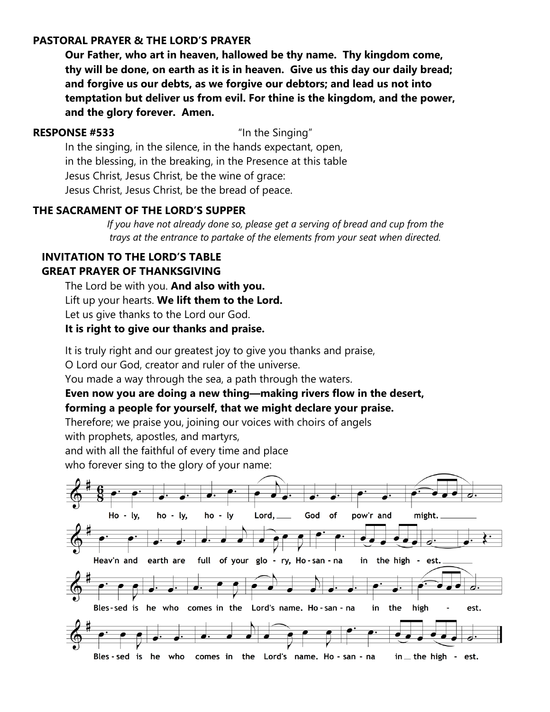#### **PASTORAL PRAYER & THE LORD'S PRAYER**

**Our Father, who art in heaven, hallowed be thy name. Thy kingdom come, thy will be done, on earth as it is in heaven. Give us this day our daily bread; and forgive us our debts, as we forgive our debtors; and lead us not into temptation but deliver us from evil. For thine is the kingdom, and the power, and the glory forever. Amen.**

#### **RESPONSE #533** "In the Singing"

In the singing, in the silence, in the hands expectant, open, in the blessing, in the breaking, in the Presence at this table Jesus Christ, Jesus Christ, be the wine of grace: Jesus Christ, Jesus Christ, be the bread of peace.

### **THE SACRAMENT OF THE LORD'S SUPPER**

*If you have not already done so, please get a serving of bread and cup from the trays at the entrance to partake of the elements from your seat when directed.*

#### **INVITATION TO THE LORD'S TABLE GREAT PRAYER OF THANKSGIVING**

The Lord be with you. **And also with you.** Lift up your hearts. **We lift them to the Lord.** Let us give thanks to the Lord our God.

### **It is right to give our thanks and praise.**

It is truly right and our greatest joy to give you thanks and praise,

O Lord our God, creator and ruler of the universe.

You made a way through the sea, a path through the waters.

### **Even now you are doing a new thing—making rivers flow in the desert, forming a people for yourself, that we might declare your praise.**

Therefore; we praise you, joining our voices with choirs of angels

with prophets, apostles, and martyrs,

and with all the faithful of every time and place

who forever sing to the glory of your name:

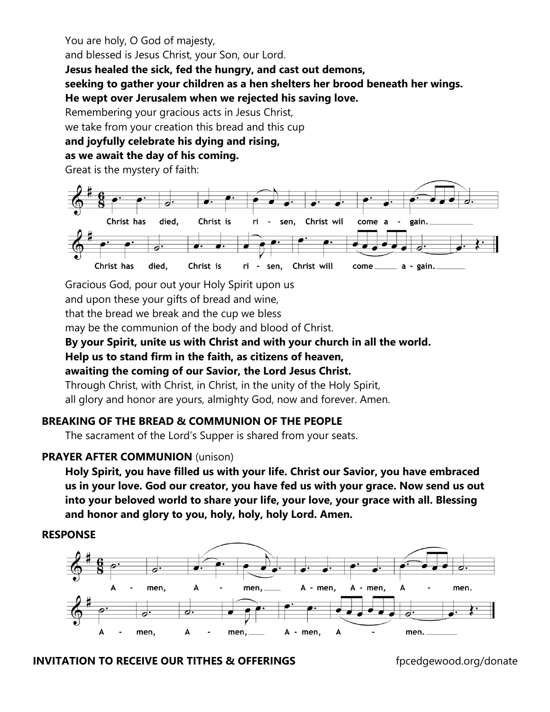You are holy, O God of majesty,

and blessed is Jesus Christ, your Son, our Lord.

**Jesus healed the sick, fed the hungry, and cast out demons,** 

**seeking to gather your children as a hen shelters her brood beneath her wings.** 

**He wept over Jerusalem when we rejected his saving love.** 

Remembering your gracious acts in Jesus Christ,

we take from your creation this bread and this cup

# **and joyfully celebrate his dying and rising,**

# **as we await the day of his coming.**

Great is the mystery of faith:



Gracious God, pour out your Holy Spirit upon us

and upon these your gifts of bread and wine,

that the bread we break and the cup we bless

may be the communion of the body and blood of Christ.

### **By your Spirit, unite us with Christ and with your church in all the world.**

**Help us to stand firm in the faith, as citizens of heaven,** 

**awaiting the coming of our Savior, the Lord Jesus Christ.** 

Through Christ, with Christ, in Christ, in the unity of the Holy Spirit, all glory and honor are yours, almighty God, now and forever. Amen.

# **BREAKING OF THE BREAD & COMMUNION OF THE PEOPLE**

The sacrament of the Lord's Supper is shared from your seats.

# **PRAYER AFTER COMMUNION** (unison)

**Holy Spirit, you have filled us with your life. Christ our Savior, you have embraced us in your love. God our creator, you have fed us with your grace. Now send us out into your beloved world to share your life, your love, your grace with all. Blessing and honor and glory to you, holy, holy, holy Lord. Amen.**

# **RESPONSE**



# **INVITATION TO RECEIVE OUR TITHES & OFFERINGS** fpcedgewood.org/donate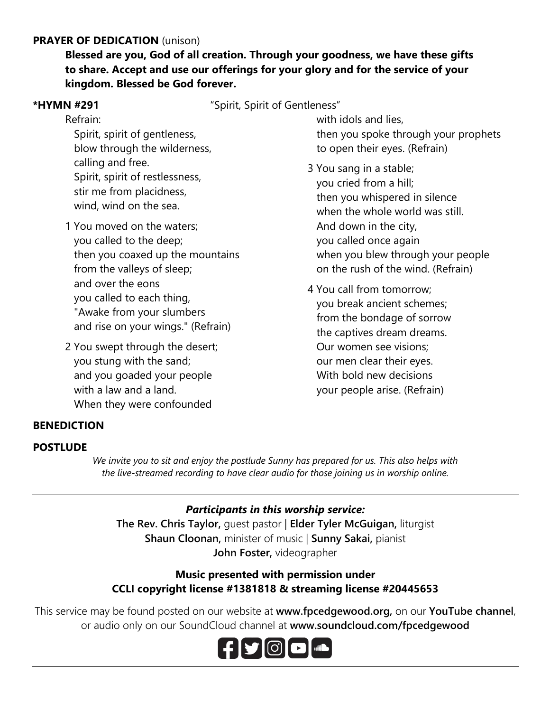### **PRAYER OF DEDICATION** (unison)

**Blessed are you, God of all creation. Through your goodness, we have these gifts to share. Accept and use our offerings for your glory and for the service of your kingdom. Blessed be God forever.**

**\*HYMN #291** "Spirit, Spirit of Gentleness"

Refrain: Spirit, spirit of gentleness, blow through the wilderness, calling and free. Spirit, spirit of restlessness, stir me from placidness, wind, wind on the sea.

- 1 You moved on the waters; you called to the deep; then you coaxed up the mountains from the valleys of sleep; and over the eons you called to each thing, "Awake from your slumbers and rise on your wings." (Refrain)
- 2 You swept through the desert; you stung with the sand; and you goaded your people with a law and a land. When they were confounded

 with idols and lies, then you spoke through your prophets to open their eyes. (Refrain)

- 3 You sang in a stable; you cried from a hill; then you whispered in silence when the whole world was still And down in the city, you called once again when you blew through your people on the rush of the wind. (Refrain)
- 4 You call from tomorrow; you break ancient schemes; from the bondage of sorrow the captives dream dreams. Our women see visions; our men clear their eyes. With bold new decisions your people arise. (Refrain)

### **BENEDICTION**

#### **POSTLUDE**

*We invite you to sit and enjoy the postlude Sunny has prepared for us. This also helps with the live-streamed recording to have clear audio for those joining us in worship online.*

### *Participants in this worship service:*

**The Rev. Chris Taylor,** guest pastor | **Elder Tyler McGuigan,** liturgist **Shaun Cloonan,** minister of music | **Sunny Sakai,** pianist **John Foster,** videographer

### **Music presented with permission under CCLI copyright license #1381818 & streaming license #20445653**

This service may be found posted on our website at **www.fpcedgewood.org,** on our **YouTube channel**, or audio only on our SoundCloud channel at **www.soundcloud.com/fpcedgewood**

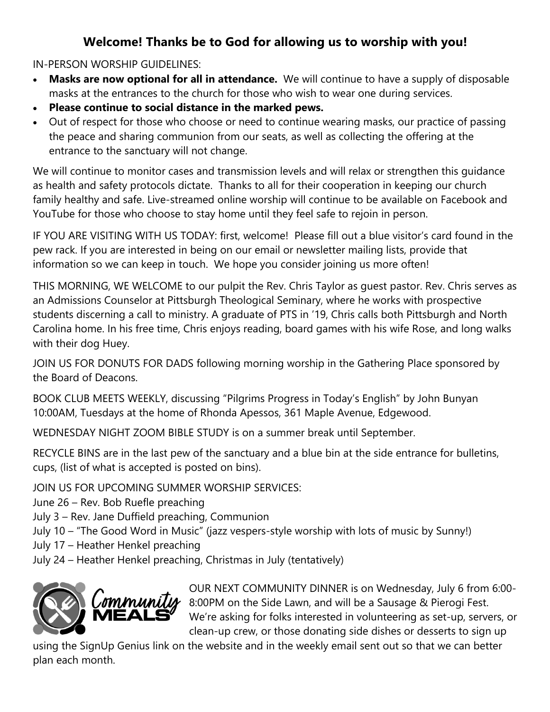# **Welcome! Thanks be to God for allowing us to worship with you!**

IN-PERSON WORSHIP GUIDELINES:

- **Masks are now optional for all in attendance.** We will continue to have a supply of disposable masks at the entrances to the church for those who wish to wear one during services.
- **Please continue to social distance in the marked pews.**
- Out of respect for those who choose or need to continue wearing masks, our practice of passing the peace and sharing communion from our seats, as well as collecting the offering at the entrance to the sanctuary will not change.

We will continue to monitor cases and transmission levels and will relax or strengthen this guidance as health and safety protocols dictate. Thanks to all for their cooperation in keeping our church family healthy and safe. Live-streamed online worship will continue to be available on Facebook and YouTube for those who choose to stay home until they feel safe to rejoin in person.

IF YOU ARE VISITING WITH US TODAY: first, welcome! Please fill out a blue visitor's card found in the pew rack. If you are interested in being on our email or newsletter mailing lists, provide that information so we can keep in touch. We hope you consider joining us more often!

THIS MORNING, WE WELCOME to our pulpit the Rev. Chris Taylor as guest pastor. Rev. Chris serves as an Admissions Counselor at Pittsburgh Theological Seminary, where he works with prospective students discerning a call to ministry. A graduate of PTS in '19, Chris calls both Pittsburgh and North Carolina home. In his free time, Chris enjoys reading, board games with his wife Rose, and long walks with their dog Huey.

JOIN US FOR DONUTS FOR DADS following morning worship in the Gathering Place sponsored by the Board of Deacons.

BOOK CLUB MEETS WEEKLY, discussing "Pilgrims Progress in Today's English" by John Bunyan 10:00AM, Tuesdays at the home of Rhonda Apessos, 361 Maple Avenue, Edgewood.

WEDNESDAY NIGHT ZOOM BIBLE STUDY is on a summer break until September.

RECYCLE BINS are in the last pew of the sanctuary and a blue bin at the side entrance for bulletins, cups, (list of what is accepted is posted on bins).

JOIN US FOR UPCOMING SUMMER WORSHIP SERVICES:

June 26 – Rev. Bob Ruefle preaching

July 3 – Rev. Jane Duffield preaching, Communion

July 10 – "The Good Word in Music" (jazz vespers-style worship with lots of music by Sunny!)

July 17 – Heather Henkel preaching

July 24 – Heather Henkel preaching, Christmas in July (tentatively)



OUR NEXT COMMUNITY DINNER is on Wednesday, July 6 from 6:00- 8:00PM on the Side Lawn, and will be a Sausage & Pierogi Fest. We're asking for folks interested in volunteering as set-up, servers, or clean-up crew, or those donating side dishes or desserts to sign up

using the SignUp Genius link on the website and in the weekly email sent out so that we can better plan each month.